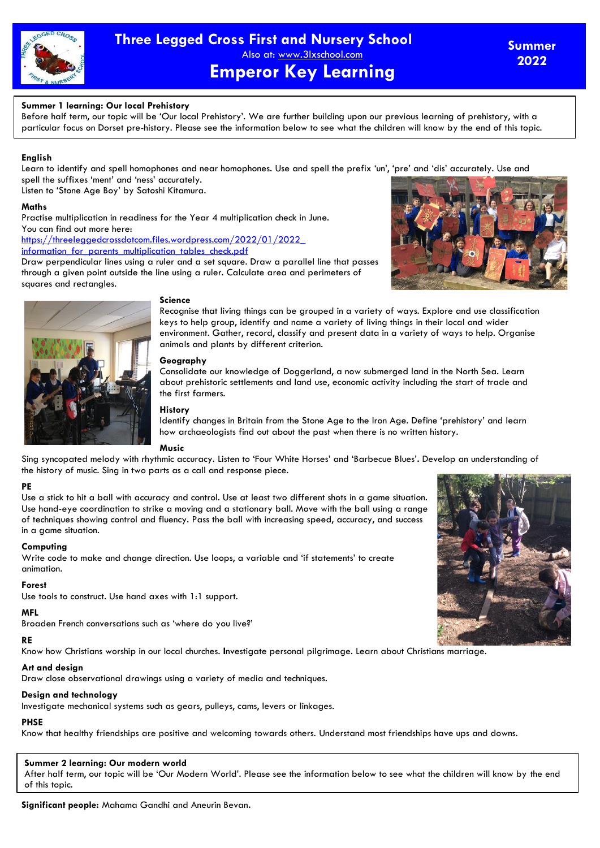

### **Summer 1 learning: Our local Prehistory**

Before half term, our topic will be 'Our local Prehistory'. We are further building upon our previous learning of prehistory, with a particular focus on Dorset pre-history. Please see the information below to see what the children will know by the end of this topic.

### **English**

Learn to identify and spell homophones and near homophones. Use and spell the prefix 'un', 'pre' and 'dis' accurately. Use and spell the suffixes 'ment' and 'ness' accurately.

Listen to 'Stone Age Boy' by Satoshi Kitamura.

### **Maths**

Practise multiplication in readiness for the Year 4 multiplication check in June. You can find out more here:

[https://threeleggedcrossdotcom.files.wordpress.com/2022/01/2022\\_](https://threeleggedcrossdotcom.files.wordpress.com/2022/01/2022_%20information_for_parents_multiplication_tables_check.pdf)  information for parents multiplication tables check.pdf

Draw perpendicular lines using a ruler and a set square. Draw a parallel line that passes through a given point outside the line using a ruler. Calculate area and perimeters of squares and rectangles.





#### **Science**

Recognise that living things can be grouped in a variety of ways. Explore and use classification keys to help group, identify and name a variety of living things in their local and wider environment. Gather, record, classify and present data in a variety of ways to help. Organise animals and plants by different criterion.

# **Geography**

Consolidate our knowledge of Doggerland, a now submerged land in the North Sea. Learn about prehistoric settlements and land use, economic activity including the start of trade and the first farmers.

#### **History**

Identify changes in Britain from the Stone Age to the Iron Age. Define 'prehistory' and learn how archaeologists find out about the past when there is no written history.

# **Music**

Sing syncopated melody with rhythmic accuracy. Listen to 'Four White Horses' and 'Barbecue Blues'**.** Develop an understanding of the history of music. Sing in two parts as a call and response piece.

# **PE**

Use a stick to hit a ball with accuracy and control. Use at least two different shots in a game situation. Use hand-eye coordination to strike a moving and a stationary ball. Move with the ball using a range of techniques showing control and fluency. Pass the ball with increasing speed, accuracy, and success in a game situation.

#### **Computing**

Write code to make and change direction. Use loops, a variable and 'if statements' to create animation.

#### **Forest**

Use tools to construct. Use hand axes with 1:1 support.

# **MFL**

Broaden French conversations such as 'where do you live?'

# **RE**

Know how Christians worship in our local churches. **I**nvestigate personal pilgrimage. Learn about Christians marriage.

# **Art and design**

Draw close observational drawings using a variety of media and techniques.

#### **Design and technology**

Investigate mechanical systems such as gears, pulleys, cams, levers or linkages.

# **PHSE**

Know that healthy friendships are positive and welcoming towards others. Understand most friendships have ups and downs.

# **Summer 2 learning: Our modern world**

After half term, our topic will be 'Our Modern World'. Please see the information below to see what the children will know by the end of this topic.